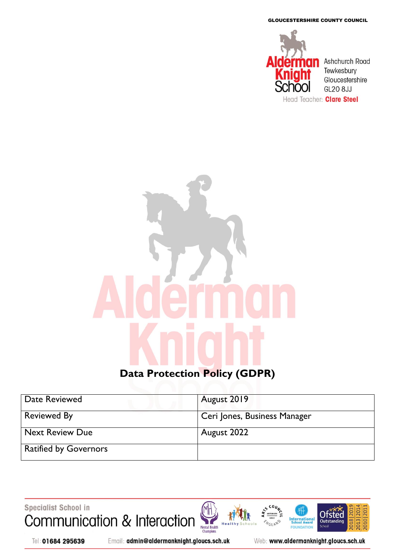GLOUCESTERSHIRE COUNTY COUNCIL



# **Data Protection Policy (GDPR)**

| Date Reviewed                | August 2019                  |
|------------------------------|------------------------------|
| <b>Reviewed By</b>           | Ceri Jones, Business Manager |
| <b>Next Review Due</b>       | August 2022                  |
| <b>Ratified by Governors</b> |                              |



Tel: 01684 295639

Email: admin@aldermanknight.gloucs.sch.uk

Web: www.aldermanknight.gloucs.sch.uk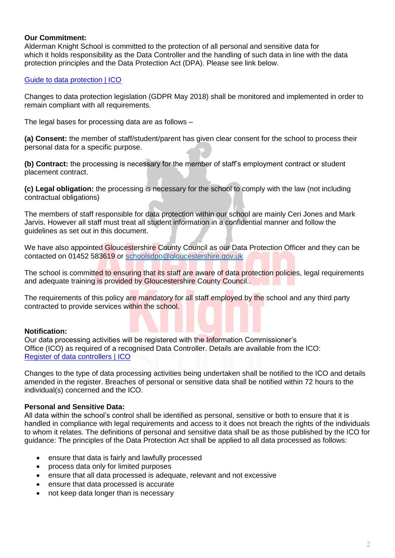#### **Our Commitment:**

Alderman Knight School is committed to the protection of all personal and sensitive data for which it holds responsibility as the Data Controller and the handling of such data in line with the data protection principles and the Data Protection Act (DPA). Please see link below.

### [Guide to data protection | ICO](https://ico.org.uk/for-organisations/guide-to-data-protection/)

Changes to data protection legislation (GDPR May 2018) shall be monitored and implemented in order to remain compliant with all requirements.

The legal bases for processing data are as follows –

**(a) Consent:** the member of staff/student/parent has given clear consent for the school to process their personal data for a specific purpose.

**(b) Contract:** the processing is necessary for the member of staff's employment contract or student placement contract.

**(c) Legal obligation:** the processing is necessary for the school to comply with the law (not including contractual obligations)

The members of staff responsible for data protection within our school are mainly Ceri Jones and Mark Jarvis. However all staff must treat all student information in a confidential manner and follow the guidelines as set out in this document.

We have also appointed Gloucestershire County Council as our Data Protection Officer and they can be contacted on 01452 583619 or schoolsdpo@gloucestershire.gov.uk

The school is committed to ensuring that its staff are aware of data protection policies, legal requirements and adequate training is provided by Gloucestershire County Council..

The requirements of this policy are mandatory for all staff employed by the school and any third party contracted to provide services within the school.

# **Notification:**

Our data processing activities will be registered with the Information Commissioner's Office (ICO) as required of a recognised Data Controller. Details are available from the ICO: [Register of data controllers | ICO](https://ico.org.uk/about-the-ico/what-we-do/register-of-data-controllers/)

Changes to the type of data processing activities being undertaken shall be notified to the ICO and details amended in the register. Breaches of personal or sensitive data shall be notified within 72 hours to the individual(s) concerned and the ICO.

# **Personal and Sensitive Data:**

All data within the school's control shall be identified as personal, sensitive or both to ensure that it is handled in compliance with legal requirements and access to it does not breach the rights of the individuals to whom it relates. The definitions of personal and sensitive data shall be as those published by the ICO for guidance: The principles of the Data Protection Act shall be applied to all data processed as follows:

- ensure that data is fairly and lawfully processed
- process data only for limited purposes
- ensure that all data processed is adequate, relevant and not excessive
- ensure that data processed is accurate
- not keep data longer than is necessary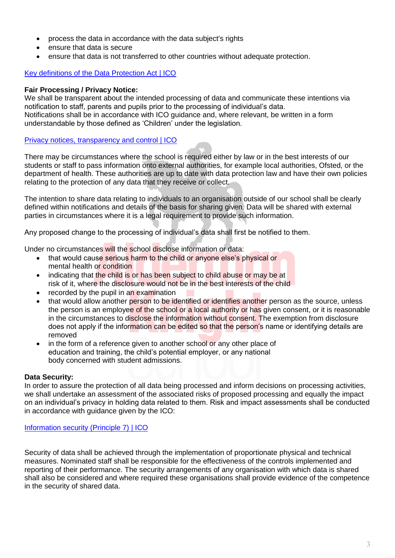- process the data in accordance with the data subject's rights
- ensure that data is secure
- ensure that data is not transferred to other countries without adequate protection.

# [Key definitions of the Data Protection Act | ICO](https://ico.org.uk/for-organisations/guide-to-data-protection/key-definitions/)

#### **Fair Processing / Privacy Notice:**

We shall be transparent about the intended processing of data and communicate these intentions via notification to staff, parents and pupils prior to the processing of individual's data. Notifications shall be in accordance with ICO guidance and, where relevant, be written in a form understandable by those defined as 'Children' under the legislation.

#### [Privacy notices, transparency and control | ICO](https://ico.org.uk/for-organisations/guide-to-data-protection/privacy-notices-transparency-and-control/)

There may be circumstances where the school is required either by law or in the best interests of our students or staff to pass information onto external authorities, for example local authorities, Ofsted, or the department of health. These authorities are up to date with data protection law and have their own policies relating to the protection of any data that they receive or collect.

The intention to share data relating to individuals to an organisation outside of our school shall be clearly defined within notifications and details of the basis for sharing given. Data will be shared with external parties in circumstances where it is a legal requirement to provide such information.

Any proposed change to the processing of individual's data shall first be notified to them.

Under no circumstances will the school disclose information or data:

- that would cause serious harm to the child or anyone else's physical or mental health or condition
- indicating that the child is or has been subject to child abuse or may be at risk of it, where the disclosure would not be in the best interests of the child
- recorded by the pupil in an examination
- that would allow another person to be identified or identifies another person as the source, unless the person is an employee of the school or a local authority or has given consent, or it is reasonable in the circumstances to disclose the information without consent. The exemption from disclosure does not apply if the information can be edited so that the person's name or identifying details are removed
- in the form of a reference given to another school or any other place of education and training, the child's potential employer, or any national body concerned with student admissions.

#### **Data Security:**

In order to assure the protection of all data being processed and inform decisions on processing activities, we shall undertake an assessment of the associated risks of proposed processing and equally the impact on an individual's privacy in holding data related to them. Risk and impact assessments shall be conducted in accordance with guidance given by the ICO:

#### [Information security \(Principle 7\) | ICO](https://ico.org.uk/for-organisations/guide-to-data-protection/principle-7-security/)

Security of data shall be achieved through the implementation of proportionate physical and technical measures. Nominated staff shall be responsible for the effectiveness of the controls implemented and reporting of their performance. The security arrangements of any organisation with which data is shared shall also be considered and where required these organisations shall provide evidence of the competence in the security of shared data.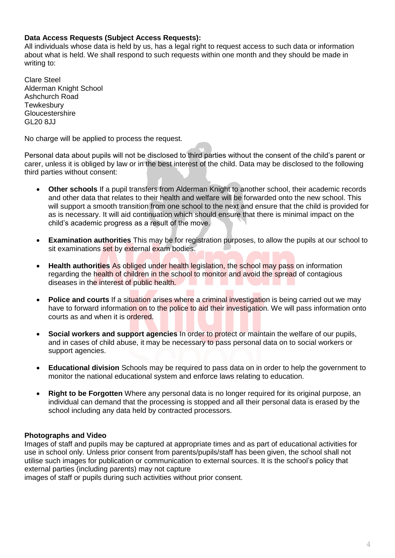#### **Data Access Requests (Subject Access Requests):**

All individuals whose data is held by us, has a legal right to request access to such data or information about what is held. We shall respond to such requests within one month and they should be made in writing to:

Clare Steel Alderman Knight School Ashchurch Road **Tewkesbury** Gloucestershire **GL20 8.I.I** 

No charge will be applied to process the request.

Personal data about pupils will not be disclosed to third parties without the consent of the child's parent or carer, unless it is obliged by law or in the best interest of the child. Data may be disclosed to the following third parties without consent:

- **Other schools** If a pupil transfers from Alderman Knight to another school, their academic records and other data that relates to their health and welfare will be forwarded onto the new school. This will support a smooth transition from one school to the next and ensure that the child is provided for as is necessary. It will aid continuation which should ensure that there is minimal impact on the child's academic progress as a result of the move.
- **Examination authorities** This may be for registration purposes, to allow the pupils at our school to sit examinations set by external exam bodies.
- **Health authorities** As obliged under health legislation, the school may pass on information regarding the health of children in the school to monitor and avoid the spread of contagious diseases in the interest of public health.
- **Police and courts** If a situation arises where a criminal investigation is being carried out we may have to forward information on to the police to aid their investigation. We will pass information onto courts as and when it is ordered.
- **Social workers and support agencies** In order to protect or maintain the welfare of our pupils, and in cases of child abuse, it may be necessary to pass personal data on to social workers or support agencies.
- **Educational division** Schools may be required to pass data on in order to help the government to monitor the national educational system and enforce laws relating to education.
- **Right to be Forgotten** Where any personal data is no longer required for its original purpose, an individual can demand that the processing is stopped and all their personal data is erased by the school including any data held by contracted processors.

#### **Photographs and Video**

Images of staff and pupils may be captured at appropriate times and as part of educational activities for use in school only. Unless prior consent from parents/pupils/staff has been given, the school shall not utilise such images for publication or communication to external sources. It is the school's policy that external parties (including parents) may not capture

images of staff or pupils during such activities without prior consent.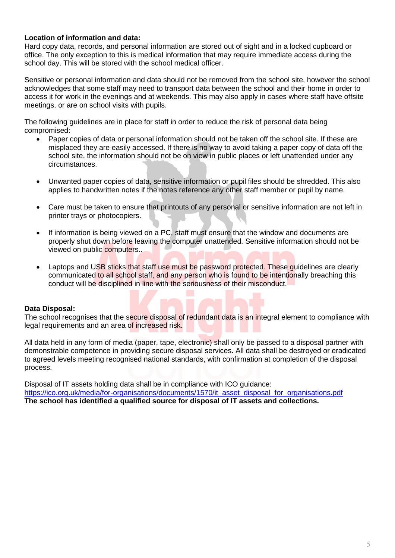#### **Location of information and data:**

Hard copy data, records, and personal information are stored out of sight and in a locked cupboard or office. The only exception to this is medical information that may require immediate access during the school day. This will be stored with the school medical officer.

Sensitive or personal information and data should not be removed from the school site, however the school acknowledges that some staff may need to transport data between the school and their home in order to access it for work in the evenings and at weekends. This may also apply in cases where staff have offsite meetings, or are on school visits with pupils.

The following guidelines are in place for staff in order to reduce the risk of personal data being compromised:

- Paper copies of data or personal information should not be taken off the school site. If these are misplaced they are easily accessed. If there is no way to avoid taking a paper copy of data off the school site, the information should not be on view in public places or left unattended under any circumstances.
- Unwanted paper copies of data, sensitive information or pupil files should be shredded. This also applies to handwritten notes if the notes reference any other staff member or pupil by name.
- Care must be taken to ensure that printouts of any personal or sensitive information are not left in printer trays or photocopiers.
- If information is being viewed on a PC, staff must ensure that the window and documents are properly shut down before leaving the computer unattended. Sensitive information should not be viewed on public computers..
- Laptops and USB sticks that staff use must be password protected. These guidelines are clearly communicated to all school staff, and any person who is found to be intentionally breaching this conduct will be disciplined in line with the seriousness of their misconduct.

#### **Data Disposal:**

The school recognises that the secure disposal of redundant data is an integral element to compliance with legal requirements and an area of increased risk.

All data held in any form of media (paper, tape, electronic) shall only be passed to a disposal partner with demonstrable competence in providing secure disposal services. All data shall be destroyed or eradicated to agreed levels meeting recognised national standards, with confirmation at completion of the disposal process.

Disposal of IT assets holding data shall be in compliance with ICO guidance: [https://ico.org.uk/media/for-organisations/documents/1570/it\\_asset\\_disposal\\_for\\_organisations.pdf](https://ico.org.uk/media/for-organisations/documents/1570/it_asset_disposal_for_organisations.pdf) **The school has identified a qualified source for disposal of IT assets and collections.**